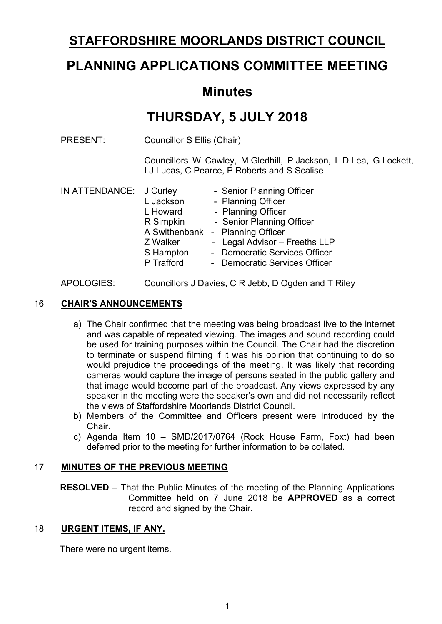# **STAFFORDSHIRE MOORLANDS DISTRICT COUNCIL**

# **PLANNING APPLICATIONS COMMITTEE MEETING**

# **Minutes**

# **THURSDAY, 5 JULY 2018**

PRESENT: Councillor S Ellis (Chair)

Councillors W Cawley, M Gledhill, P Jackson, L D Lea, G Lockett, I J Lucas, C Pearce, P Roberts and S Scalise

| IN ATTENDANCE: J Curley |            | - Senior Planning Officer        |
|-------------------------|------------|----------------------------------|
|                         | L Jackson  | - Planning Officer               |
|                         | L Howard   | - Planning Officer               |
|                         | R Simpkin  | - Senior Planning Officer        |
|                         |            | A Swithenbank - Planning Officer |
|                         | Z Walker   | - Legal Advisor - Freeths LLP    |
|                         | S Hampton  | - Democratic Services Officer    |
|                         | P Trafford | - Democratic Services Officer    |
|                         |            |                                  |

#### APOLOGIES: Councillors J Davies, C R Jebb, D Ogden and T Riley

#### 16 **CHAIR'S ANNOUNCEMENTS**

- a) The Chair confirmed that the meeting was being broadcast live to the internet and was capable of repeated viewing. The images and sound recording could be used for training purposes within the Council. The Chair had the discretion to terminate or suspend filming if it was his opinion that continuing to do so would prejudice the proceedings of the meeting. It was likely that recording cameras would capture the image of persons seated in the public gallery and that image would become part of the broadcast. Any views expressed by any speaker in the meeting were the speaker's own and did not necessarily reflect the views of Staffordshire Moorlands District Council.
- b) Members of the Committee and Officers present were introduced by the Chair.
- c) Agenda Item 10 SMD/2017/0764 (Rock House Farm, Foxt) had been deferred prior to the meeting for further information to be collated.

#### 17 **MINUTES OF THE PREVIOUS MEETING**

**RESOLVED** – That the Public Minutes of the meeting of the Planning Applications Committee held on 7 June 2018 be **APPROVED** as a correct record and signed by the Chair.

#### 18 **URGENT ITEMS, IF ANY.**

There were no urgent items.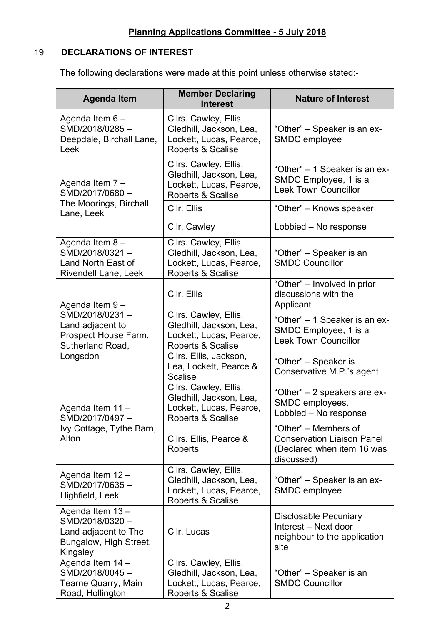## 19 **DECLARATIONS OF INTEREST**

The following declarations were made at this point unless otherwise stated:-

| <b>Agenda Item</b>                                                                              | <b>Member Declaring</b><br><b>Interest</b>                                                                  | <b>Nature of Interest</b>                                                                             |  |  |
|-------------------------------------------------------------------------------------------------|-------------------------------------------------------------------------------------------------------------|-------------------------------------------------------------------------------------------------------|--|--|
| Agenda Item 6-<br>SMD/2018/0285-<br>Deepdale, Birchall Lane,<br>Leek                            | Cllrs. Cawley, Ellis,<br>Gledhill, Jackson, Lea,<br>Lockett, Lucas, Pearce,<br><b>Roberts &amp; Scalise</b> | "Other" - Speaker is an ex-<br>SMDC employee                                                          |  |  |
| Agenda Item 7 -<br>SMD/2017/0680-                                                               | Cllrs. Cawley, Ellis,<br>Gledhill, Jackson, Lea,<br>Lockett, Lucas, Pearce,<br><b>Roberts &amp; Scalise</b> | "Other" – 1 Speaker is an ex-<br>SMDC Employee, 1 is a<br><b>Leek Town Councillor</b>                 |  |  |
| The Moorings, Birchall<br>Lane, Leek                                                            | CIIr. Ellis                                                                                                 | "Other" - Knows speaker                                                                               |  |  |
|                                                                                                 | Cllr. Cawley                                                                                                | Lobbied - No response                                                                                 |  |  |
| Agenda Item 8-<br>SMD/2018/0321-<br>Land North East of<br>Rivendell Lane, Leek                  | Cllrs. Cawley, Ellis,<br>Gledhill, Jackson, Lea,<br>Lockett, Lucas, Pearce,<br>Roberts & Scalise            | "Other" – Speaker is an<br><b>SMDC Councillor</b>                                                     |  |  |
| Agenda Item 9-                                                                                  | CIIr. Ellis                                                                                                 | "Other" - Involved in prior<br>discussions with the<br>Applicant                                      |  |  |
| SMD/2018/0231-<br>Land adjacent to<br>Prospect House Farm,<br>Sutherland Road,                  | Cllrs. Cawley, Ellis,<br>Gledhill, Jackson, Lea,<br>Lockett, Lucas, Pearce,<br>Roberts & Scalise            | "Other" – 1 Speaker is an ex-<br>SMDC Employee, 1 is a<br><b>Leek Town Councillor</b>                 |  |  |
| Longsdon                                                                                        | Cllrs. Ellis, Jackson,<br>Lea, Lockett, Pearce &<br><b>Scalise</b>                                          | "Other" – Speaker is<br>Conservative M.P.'s agent                                                     |  |  |
| Agenda Item 11 -<br>SMD/2017/0497-                                                              | Cllrs. Cawley, Ellis,<br>Gledhill, Jackson, Lea,<br>Lockett, Lucas, Pearce,<br><b>Roberts &amp; Scalise</b> | "Other" – 2 speakers are ex-<br>SMDC employees.<br>Lobbied - No response                              |  |  |
| Ivy Cottage, Tythe Barn,<br>Alton                                                               | Cllrs. Ellis, Pearce &<br><b>Roberts</b>                                                                    | "Other" – Members of<br><b>Conservation Liaison Panel</b><br>(Declared when item 16 was<br>discussed) |  |  |
| Agenda Item 12 -<br>SMD/2017/0635-<br>Highfield, Leek                                           | Cllrs. Cawley, Ellis,<br>Gledhill, Jackson, Lea,<br>Lockett, Lucas, Pearce,<br>Roberts & Scalise            | "Other" – Speaker is an ex-<br>SMDC employee                                                          |  |  |
| Agenda Item 13-<br>SMD/2018/0320-<br>Land adjacent to The<br>Bungalow, High Street,<br>Kingsley | Cllr. Lucas                                                                                                 | <b>Disclosable Pecuniary</b><br>Interest - Next door<br>neighbour to the application<br>site          |  |  |
| Agenda Item 14 -<br>SMD/2018/0045-<br>Tearne Quarry, Main<br>Road, Hollington                   | Cllrs. Cawley, Ellis,<br>Gledhill, Jackson, Lea,<br>Lockett, Lucas, Pearce,<br>Roberts & Scalise            | "Other" – Speaker is an<br><b>SMDC Councillor</b>                                                     |  |  |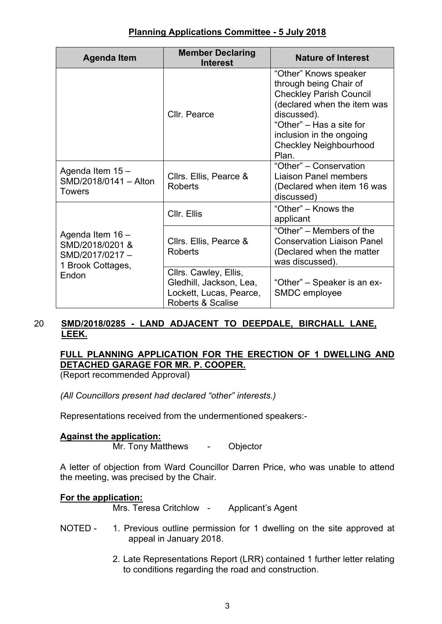| <b>Agenda Item</b>                                                                  | <b>Member Declaring</b><br><b>Interest</b>                                                                  | <b>Nature of Interest</b>                                                                                                                                                                                                         |  |
|-------------------------------------------------------------------------------------|-------------------------------------------------------------------------------------------------------------|-----------------------------------------------------------------------------------------------------------------------------------------------------------------------------------------------------------------------------------|--|
|                                                                                     | Cllr. Pearce                                                                                                | "Other" Knows speaker<br>through being Chair of<br><b>Checkley Parish Council</b><br>(declared when the item was<br>discussed).<br>"Other" – Has a site for<br>inclusion in the ongoing<br><b>Checkley Neighbourhood</b><br>Plan. |  |
| Agenda Item 15 -<br>SMD/2018/0141 - Alton<br><b>Towers</b>                          | Cllrs. Ellis, Pearce &<br><b>Roberts</b>                                                                    | "Other" – Conservation<br>Liaison Panel members<br>(Declared when item 16 was<br>discussed)                                                                                                                                       |  |
|                                                                                     | Cllr. Ellis                                                                                                 | "Other" – Knows the<br>applicant                                                                                                                                                                                                  |  |
| Agenda Item 16 -<br>SMD/2018/0201 &<br>SMD/2017/0217-<br>1 Brook Cottages,<br>Endon | Cllrs. Ellis, Pearce &<br><b>Roberts</b>                                                                    | "Other" – Members of the<br><b>Conservation Liaison Panel</b><br>(Declared when the matter<br>was discussed).                                                                                                                     |  |
|                                                                                     | Cllrs. Cawley, Ellis,<br>Gledhill, Jackson, Lea,<br>Lockett, Lucas, Pearce,<br><b>Roberts &amp; Scalise</b> | "Other" – Speaker is an ex-<br>SMDC employee                                                                                                                                                                                      |  |

## 20 **SMD/2018/0285 - LAND ADJACENT TO DEEPDALE, BIRCHALL LANE, LEEK.**

## **FULL PLANNING APPLICATION FOR THE ERECTION OF 1 DWELLING AND DETACHED GARAGE FOR MR. P. COOPER.**

(Report recommended Approval)

*(All Councillors present had declared "other" interests.)*

Representations received from the undermentioned speakers:-

## **Against the application:**

Mr. Tony Matthews - Objector

A letter of objection from Ward Councillor Darren Price, who was unable to attend the meeting, was precised by the Chair.

## **For the application:**

Mrs. Teresa Critchlow - Applicant's Agent

- NOTED 1. Previous outline permission for 1 dwelling on the site approved at appeal in January 2018.
	- 2. Late Representations Report (LRR) contained 1 further letter relating to conditions regarding the road and construction.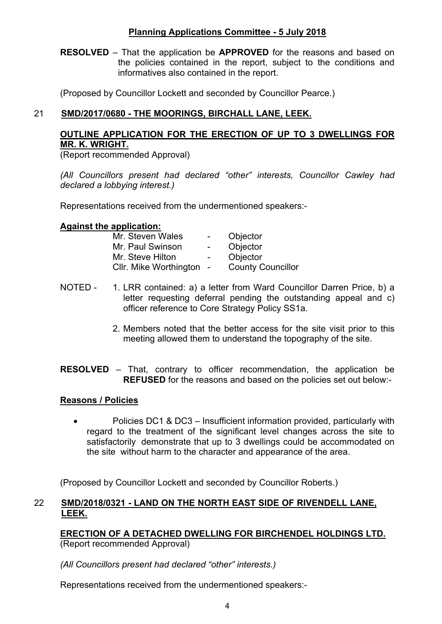**RESOLVED** – That the application be **APPROVED** for the reasons and based on the policies contained in the report, subject to the conditions and informatives also contained in the report.

(Proposed by Councillor Lockett and seconded by Councillor Pearce.)

## 21 **SMD/2017/0680 - THE MOORINGS, BIRCHALL LANE, LEEK.**

## **OUTLINE APPLICATION FOR THE ERECTION OF UP TO 3 DWELLINGS FOR MR. K. WRIGHT.**

(Report recommended Approval)

*(All Councillors present had declared "other" interests, Councillor Cawley had declared a lobbying interest.)*

Representations received from the undermentioned speakers:-

#### **Against the application:**

| Mr. Steven Wales       | $\sim$            | Objector                 |
|------------------------|-------------------|--------------------------|
| Mr. Paul Swinson       | $\sim$            | Objector                 |
| Mr. Steve Hilton       | $\sim$ 100 $\sim$ | Objector                 |
| Cllr. Mike Worthington | $\sim$            | <b>County Councillor</b> |

- NOTED 1. LRR contained: a) a letter from Ward Councillor Darren Price, b) a letter requesting deferral pending the outstanding appeal and c) officer reference to Core Strategy Policy SS1a.
	- 2. Members noted that the better access for the site visit prior to this meeting allowed them to understand the topography of the site.

**RESOLVED** – That, contrary to officer recommendation, the application be **REFUSED** for the reasons and based on the policies set out below:-

#### **Reasons / Policies**

• Policies DC1 & DC3 – Insufficient information provided, particularly with regard to the treatment of the significant level changes across the site to satisfactorily demonstrate that up to 3 dwellings could be accommodated on the site without harm to the character and appearance of the area.

(Proposed by Councillor Lockett and seconded by Councillor Roberts.)

#### 22 **SMD/2018/0321 - LAND ON THE NORTH EAST SIDE OF RIVENDELL LANE, LEEK.**

**ERECTION OF A DETACHED DWELLING FOR BIRCHENDEL HOLDINGS LTD.** (Report recommended Approval)

*(All Councillors present had declared "other" interests.)*

Representations received from the undermentioned speakers:-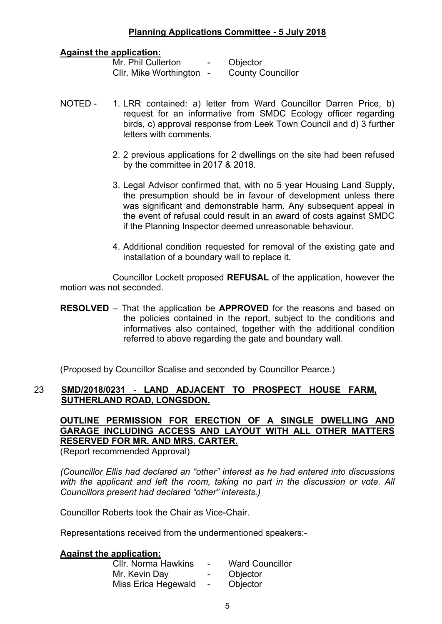#### **Against the application:**

| Mr. Phil Cullerton     |  |
|------------------------|--|
| Cllr. Mike Worthington |  |

Objector **County Councillor** 

- NOTED 1. LRR contained: a) letter from Ward Councillor Darren Price, b) request for an informative from SMDC Ecology officer regarding birds, c) approval response from Leek Town Council and d) 3 further letters with comments.
	- 2. 2 previous applications for 2 dwellings on the site had been refused by the committee in 2017 & 2018.
	- 3. Legal Advisor confirmed that, with no 5 year Housing Land Supply, the presumption should be in favour of development unless there was significant and demonstrable harm. Any subsequent appeal in the event of refusal could result in an award of costs against SMDC if the Planning Inspector deemed unreasonable behaviour.
	- 4. Additional condition requested for removal of the existing gate and installation of a boundary wall to replace it.

Councillor Lockett proposed **REFUSAL** of the application, however the motion was not seconded.

**RESOLVED** – That the application be **APPROVED** for the reasons and based on the policies contained in the report, subject to the conditions and informatives also contained, together with the additional condition referred to above regarding the gate and boundary wall.

(Proposed by Councillor Scalise and seconded by Councillor Pearce.)

## 23 **SMD/2018/0231 - LAND ADJACENT TO PROSPECT HOUSE FARM, SUTHERLAND ROAD, LONGSDON.**

**OUTLINE PERMISSION FOR ERECTION OF A SINGLE DWELLING AND GARAGE INCLUDING ACCESS AND LAYOUT WITH ALL OTHER MATTERS RESERVED FOR MR. AND MRS. CARTER.**

(Report recommended Approval)

*(Councillor Ellis had declared an "other" interest as he had entered into discussions with the applicant and left the room, taking no part in the discussion or vote. All Councillors present had declared "other" interests.)*

Councillor Roberts took the Chair as Vice-Chair.

Representations received from the undermentioned speakers:-

#### **Against the application:**

| <b>CIIr. Norma Hawkins</b> | $\sim$                   | <b>Ward Councillor</b> |
|----------------------------|--------------------------|------------------------|
| Mr. Kevin Day              | $\sim$ 100 $\sim$        | Objector               |
| Miss Erica Hegewald        | $\overline{\phantom{0}}$ | Objector               |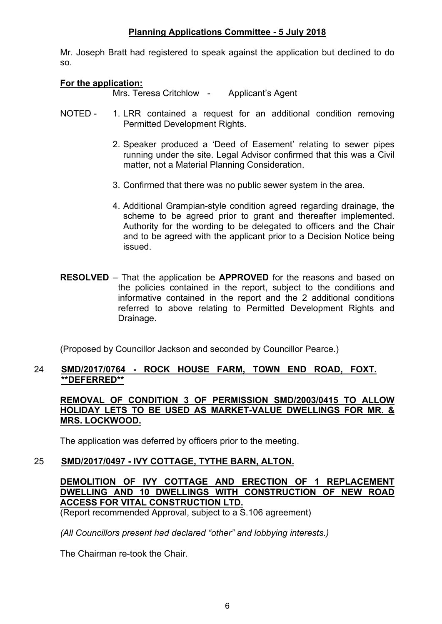Mr. Joseph Bratt had registered to speak against the application but declined to do so.

#### **For the application:**

Mrs. Teresa Critchlow - Applicant's Agent

- NOTED 1. LRR contained a request for an additional condition removing Permitted Development Rights.
	- 2. Speaker produced a 'Deed of Easement' relating to sewer pipes running under the site. Legal Advisor confirmed that this was a Civil matter, not a Material Planning Consideration.
	- 3. Confirmed that there was no public sewer system in the area.
	- 4. Additional Grampian-style condition agreed regarding drainage, the scheme to be agreed prior to grant and thereafter implemented. Authority for the wording to be delegated to officers and the Chair and to be agreed with the applicant prior to a Decision Notice being issued.
- **RESOLVED** That the application be **APPROVED** for the reasons and based on the policies contained in the report, subject to the conditions and informative contained in the report and the 2 additional conditions referred to above relating to Permitted Development Rights and Drainage.

(Proposed by Councillor Jackson and seconded by Councillor Pearce.)

### 24 **SMD/2017/0764 - ROCK HOUSE FARM, TOWN END ROAD, FOXT. \*\*DEFERRED\*\***

**REMOVAL OF CONDITION 3 OF PERMISSION SMD/2003/0415 TO ALLOW HOLIDAY LETS TO BE USED AS MARKET-VALUE DWELLINGS FOR MR. & MRS. LOCKWOOD.**

The application was deferred by officers prior to the meeting.

## 25 **SMD/2017/0497 - IVY COTTAGE, TYTHE BARN, ALTON.**

## **DEMOLITION OF IVY COTTAGE AND ERECTION OF 1 REPLACEMENT DWELLING AND 10 DWELLINGS WITH CONSTRUCTION OF NEW ROAD ACCESS FOR VITAL CONSTRUCTION LTD.**

(Report recommended Approval, subject to a S.106 agreement)

*(All Councillors present had declared "other" and lobbying interests.)*

The Chairman re-took the Chair.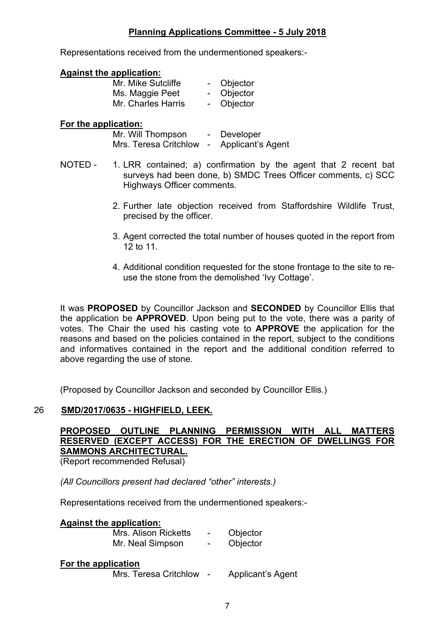Representations received from the undermentioned speakers:-

#### **Against the application:**

| Mr. Mike Sutcliffe | Objector |
|--------------------|----------|
| Ms. Maggie Peet    | Objector |
| Mr. Charles Harris | Objector |

#### **For the application:**

| Mr. Will Thompson     | Developer         |
|-----------------------|-------------------|
| Mrs. Teresa Critchlow | Applicant's Agent |

- NOTED 1. LRR contained; a) confirmation by the agent that 2 recent bat surveys had been done, b) SMDC Trees Officer comments, c) SCC Highways Officer comments.
	- 2. Further late objection received from Staffordshire Wildlife Trust, precised by the officer.
	- 3. Agent corrected the total number of houses quoted in the report from 12 to 11.
	- 4. Additional condition requested for the stone frontage to the site to reuse the stone from the demolished 'Ivy Cottage'.

It was **PROPOSED** by Councillor Jackson and **SECONDED** by Councillor Ellis that the application be **APPROVED**. Upon being put to the vote, there was a parity of votes. The Chair the used his casting vote to **APPROVE** the application for the reasons and based on the policies contained in the report, subject to the conditions and informatives contained in the report and the additional condition referred to above regarding the use of stone.

(Proposed by Councillor Jackson and seconded by Councillor Ellis.)

#### 26 **SMD/2017/0635 - HIGHFIELD, LEEK.**

# **PROPOSED OUTLINE PLANNING PERMISSION WITH ALL MATTERS RESERVED (EXCEPT ACCESS) FOR THE ERECTION OF DWELLINGS FOR SAMMONS ARCHITECTURAL.**

(Report recommended Refusal)

*(All Councillors present had declared "other" interests.)*

Representations received from the undermentioned speakers:-

| <b>Against the application:</b><br>Mrs. Alison Ricketts<br>Mr. Neal Simpson | $\overline{\phantom{0}}$ | Objector<br>Objector |
|-----------------------------------------------------------------------------|--------------------------|----------------------|
| For the application<br>Mrs. Teresa Critchlow -                              |                          | Applicant's Agent    |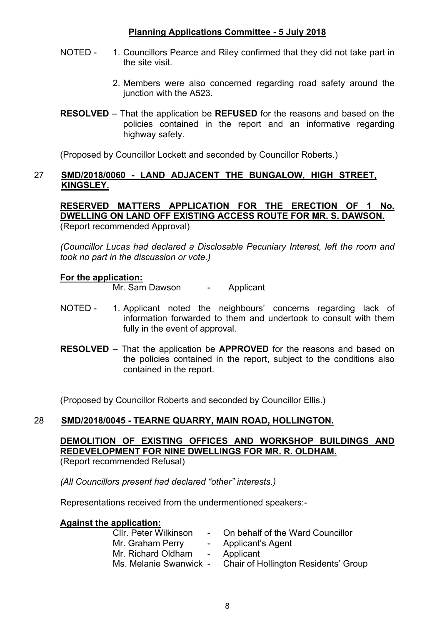- NOTED 1. Councillors Pearce and Riley confirmed that they did not take part in the site visit.
	- 2. Members were also concerned regarding road safety around the junction with the A523.
- **RESOLVED** That the application be **REFUSED** for the reasons and based on the policies contained in the report and an informative regarding highway safety.

(Proposed by Councillor Lockett and seconded by Councillor Roberts.)

#### 27 **SMD/2018/0060 - LAND ADJACENT THE BUNGALOW, HIGH STREET, KINGSLEY.**

**RESERVED MATTERS APPLICATION FOR THE ERECTION OF 1 No. DWELLING ON LAND OFF EXISTING ACCESS ROUTE FOR MR. S. DAWSON.** (Report recommended Approval)

*(Councillor Lucas had declared a Disclosable Pecuniary Interest, left the room and took no part in the discussion or vote.)*

#### **For the application:**

Mr. Sam Dawson - Applicant

- NOTED 1. Applicant noted the neighbours' concerns regarding lack of information forwarded to them and undertook to consult with them fully in the event of approval.
- **RESOLVED** That the application be **APPROVED** for the reasons and based on the policies contained in the report, subject to the conditions also contained in the report.

(Proposed by Councillor Roberts and seconded by Councillor Ellis.)

#### 28 **SMD/2018/0045 - TEARNE QUARRY, MAIN ROAD, HOLLINGTON.**

**DEMOLITION OF EXISTING OFFICES AND WORKSHOP BUILDINGS AND REDEVELOPMENT FOR NINE DWELLINGS FOR MR. R. OLDHAM.** (Report recommended Refusal)

*(All Councillors present had declared "other" interests.)*

Representations received from the undermentioned speakers:-

#### **Against the application:**

| <b>CIIr. Peter Wilkinson</b> | - On behalf of the Ward Councillor   |
|------------------------------|--------------------------------------|
| Mr. Graham Perry             | - Applicant's Agent                  |
| Mr. Richard Oldham           | - Applicant                          |
| Ms. Melanie Swanwick -       | Chair of Hollington Residents' Group |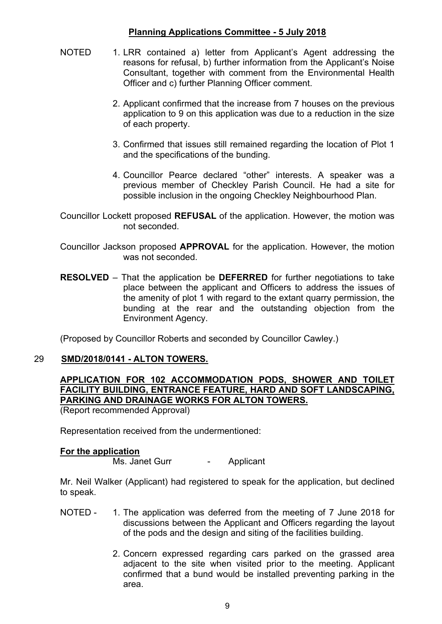- NOTED 1. LRR contained a) letter from Applicant's Agent addressing the reasons for refusal, b) further information from the Applicant's Noise Consultant, together with comment from the Environmental Health Officer and c) further Planning Officer comment.
	- 2. Applicant confirmed that the increase from 7 houses on the previous application to 9 on this application was due to a reduction in the size of each property.
	- 3. Confirmed that issues still remained regarding the location of Plot 1 and the specifications of the bunding.
	- 4. Councillor Pearce declared "other" interests. A speaker was a previous member of Checkley Parish Council. He had a site for possible inclusion in the ongoing Checkley Neighbourhood Plan.
- Councillor Lockett proposed **REFUSAL** of the application. However, the motion was not seconded.
- Councillor Jackson proposed **APPROVAL** for the application. However, the motion was not seconded.
- **RESOLVED** That the application be **DEFERRED** for further negotiations to take place between the applicant and Officers to address the issues of the amenity of plot 1 with regard to the extant quarry permission, the bunding at the rear and the outstanding objection from the Environment Agency.

(Proposed by Councillor Roberts and seconded by Councillor Cawley.)

#### 29 **SMD/2018/0141 - ALTON TOWERS.**

## **APPLICATION FOR 102 ACCOMMODATION PODS, SHOWER AND TOILET FACILITY BUILDING, ENTRANCE FEATURE, HARD AND SOFT LANDSCAPING, PARKING AND DRAINAGE WORKS FOR ALTON TOWERS.**

(Report recommended Approval)

Representation received from the undermentioned:

#### **For the application**

Ms. Janet Gurr - Applicant

Mr. Neil Walker (Applicant) had registered to speak for the application, but declined to speak.

- NOTED 1. The application was deferred from the meeting of 7 June 2018 for discussions between the Applicant and Officers regarding the layout of the pods and the design and siting of the facilities building.
	- 2. Concern expressed regarding cars parked on the grassed area adjacent to the site when visited prior to the meeting. Applicant confirmed that a bund would be installed preventing parking in the area.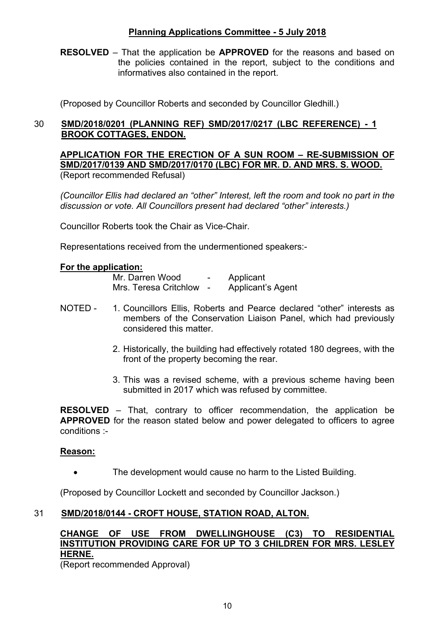**RESOLVED** – That the application be **APPROVED** for the reasons and based on the policies contained in the report, subject to the conditions and informatives also contained in the report.

(Proposed by Councillor Roberts and seconded by Councillor Gledhill.)

## 30 **SMD/2018/0201 (PLANNING REF) SMD/2017/0217 (LBC REFERENCE) - 1 BROOK COTTAGES, ENDON.**

**APPLICATION FOR THE ERECTION OF A SUN ROOM – RE-SUBMISSION OF SMD/2017/0139 AND SMD/2017/0170 (LBC) FOR MR. D. AND MRS. S. WOOD.** (Report recommended Refusal)

*(Councillor Ellis had declared an "other" Interest, left the room and took no part in the discussion or vote. All Councillors present had declared "other" interests.)*

Councillor Roberts took the Chair as Vice-Chair.

Representations received from the undermentioned speakers:-

#### **For the application:**

Mr. Darren Wood - Applicant Mrs. Teresa Critchlow - Applicant's Agent

- NOTED 1. Councillors Ellis, Roberts and Pearce declared "other" interests as members of the Conservation Liaison Panel, which had previously considered this matter.
	- 2. Historically, the building had effectively rotated 180 degrees, with the front of the property becoming the rear.
	- 3. This was a revised scheme, with a previous scheme having been submitted in 2017 which was refused by committee.

**RESOLVED** – That, contrary to officer recommendation, the application be **APPROVED** for the reason stated below and power delegated to officers to agree conditions :-

#### **Reason:**

The development would cause no harm to the Listed Building.

(Proposed by Councillor Lockett and seconded by Councillor Jackson.)

#### 31 **SMD/2018/0144 - CROFT HOUSE, STATION ROAD, ALTON.**

## **CHANGE OF USE FROM DWELLINGHOUSE (C3) TO RESIDENTIAL INSTITUTION PROVIDING CARE FOR UP TO 3 CHILDREN FOR MRS. LESLEY HERNE.**

(Report recommended Approval)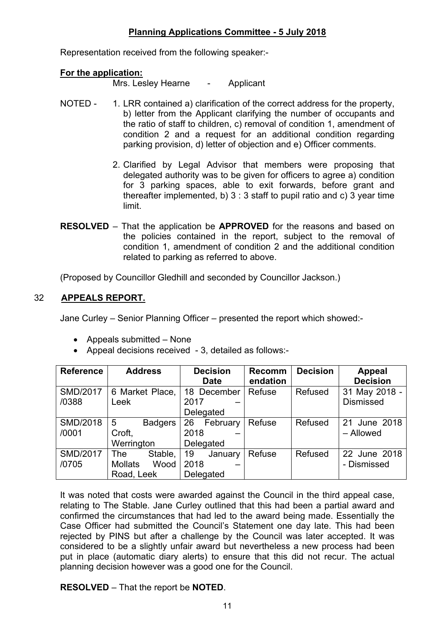Representation received from the following speaker:-

#### **For the application:**

Mrs. Lesley Hearne - Applicant

- NOTED 1. LRR contained a) clarification of the correct address for the property, b) letter from the Applicant clarifying the number of occupants and the ratio of staff to children, c) removal of condition 1, amendment of condition 2 and a request for an additional condition regarding parking provision, d) letter of objection and e) Officer comments.
	- 2. Clarified by Legal Advisor that members were proposing that delegated authority was to be given for officers to agree a) condition for 3 parking spaces, able to exit forwards, before grant and thereafter implemented, b)  $3 : 3$  staff to pupil ratio and c)  $3$  year time limit.
- **RESOLVED** That the application be **APPROVED** for the reasons and based on the policies contained in the report, subject to the removal of condition 1, amendment of condition 2 and the additional condition related to parking as referred to above.

(Proposed by Councillor Gledhill and seconded by Councillor Jackson.)

### 32 **APPEALS REPORT.**

Jane Curley – Senior Planning Officer – presented the report which showed:-

- Appeals submitted None
- Appeal decisions received 3, detailed as follows:-

| <b>Reference</b> | <b>Address</b>         | <b>Decision</b><br><b>Date</b> | <b>Recomm</b><br>endation | <b>Decision</b> | <b>Appeal</b><br><b>Decision</b> |
|------------------|------------------------|--------------------------------|---------------------------|-----------------|----------------------------------|
|                  |                        |                                |                           |                 |                                  |
| <b>SMD/2017</b>  | 6 Market Place,        | 18 December                    | Refuse                    | Refused         | 31 May 2018 -                    |
| /0388            | Leek                   | 2017                           |                           |                 | <b>Dismissed</b>                 |
|                  |                        | Delegated                      |                           |                 |                                  |
| <b>SMD/2018</b>  | 5<br><b>Badgers</b>    | 26<br>February                 | Refuse                    | Refused         | 21 June 2018                     |
| /0001            | Croft,                 | 2018                           |                           |                 | - Allowed                        |
|                  | Werrington             | Delegated                      |                           |                 |                                  |
| <b>SMD/2017</b>  | Stable,<br><b>The</b>  | 19<br>January                  | Refuse                    | Refused         | 22 June 2018                     |
| /0705            | <b>Mollats</b><br>Wood | 2018                           |                           |                 | - Dismissed                      |
|                  | Road, Leek             | Delegated                      |                           |                 |                                  |

It was noted that costs were awarded against the Council in the third appeal case, relating to The Stable. Jane Curley outlined that this had been a partial award and confirmed the circumstances that had led to the award being made. Essentially the Case Officer had submitted the Council's Statement one day late. This had been rejected by PINS but after a challenge by the Council was later accepted. It was considered to be a slightly unfair award but nevertheless a new process had been put in place (automatic diary alerts) to ensure that this did not recur. The actual planning decision however was a good one for the Council.

**RESOLVED** – That the report be **NOTED**.